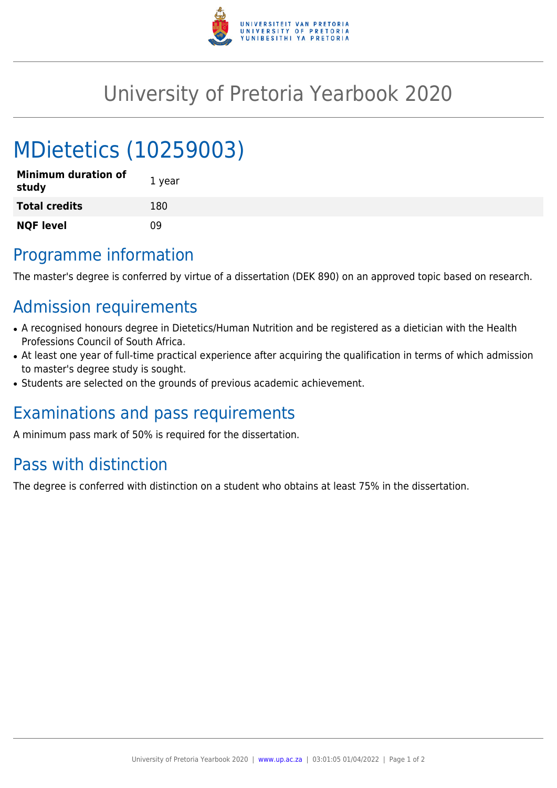

## University of Pretoria Yearbook 2020

# MDietetics (10259003)

| <b>Minimum duration of</b><br>study | 1 year |
|-------------------------------------|--------|
| <b>Total credits</b>                | 180    |
| <b>NQF level</b>                    | ΩÓ     |

#### Programme information

The master's degree is conferred by virtue of a dissertation (DEK 890) on an approved topic based on research.

### Admission requirements

- A recognised honours degree in Dietetics/Human Nutrition and be registered as a dietician with the Health Professions Council of South Africa.
- At least one year of full-time practical experience after acquiring the qualification in terms of which admission to master's degree study is sought.
- Students are selected on the grounds of previous academic achievement.

#### Examinations and pass requirements

A minimum pass mark of 50% is required for the dissertation.

#### Pass with distinction

The degree is conferred with distinction on a student who obtains at least 75% in the dissertation.